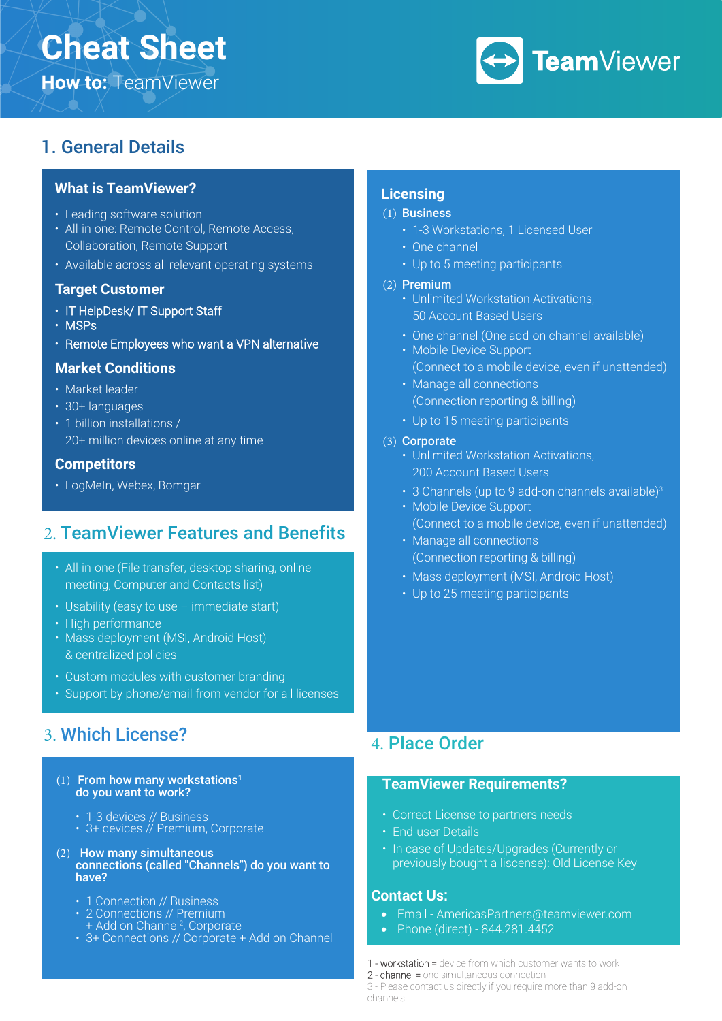# **Cheat Sheet How to:** TeamViewer



# 1. General Details

## **What is TeamViewer?**

- Leading software solution
- All-in-one: Remote Control, Remote Access, Collaboration, Remote Support
- Available across all relevant operating systems

## **Target Customer**

- IT HelpDesk/ IT Support Staff
- MSPs
- Remote Employees who want a VPN alternative

### **Market Conditions**

- Market leader
- 30+ languages
- 1 billion installations / 20+ million devices online at any time

### **Competitors**

• LogMeIn, Webex, Bomgar

## 2. TeamViewer Features and Benefits

- All-in-one (File transfer, desktop sharing, online meeting, Computer and Contacts list)
- Usability (easy to use immediate start)
- High performance
- Mass deployment (MSI, Android Host) & centralized policies
- Custom modules with customer branding
- Support by phone/email from vendor for all licenses

## 3. Which License? **Golden Questions**

- (1) From how many workstations<sup>1</sup> do you want to work?
	- 1-3 devices // Business
	- 3+ devices // Premium, Corporate
- (2) How many simultaneous connections (called "Channels") do you want to have?
	- 1 Connection // Business
	- 2 Connections // Premium
	- + Add on Channel<sup>2</sup>, Corporate
	- 3+ Connections // Corporate + Add on Channel

## **Licensing**

#### (1) Business

- 1-3 Workstations, 1 Licensed User
- One channel
- Up to 5 meeting participants

#### (2) Premium

- Unlimited Workstation Activations, 50 Account Based Users
- One channel (One add-on channel available)
- Mobile Device Support (Connect to a mobile device, even if unattended)
- Manage all connections (Connection reporting & billing)
- Up to 15 meeting participants

#### (3) Corporate

- Unlimited Workstation Activations, 200 Account Based Users
- $\cdot$  3 Channels (up to 9 add-on channels available)<sup>3</sup>
- Mobile Device Support (Connect to a mobile device, even if unattended)
- Manage all connections (Connection reporting & billing)
- Mass deployment (MSI, Android Host)
- Up to 25 meeting participants

## 4. Place Order

## **TeamViewer Requirements?**

- Correct License to partners needs
- End-user Details
- In case of Updates/Upgrades (Currently or previously bought a liscense): Old License Key

#### **Contact Us:**

- Email AmericasPartners@teamviewer.com
- Phone (direct) 844.281.4452
- 1 workstation = device from which customer wants to work

2 - channel = one simultaneous connection

3 - Please contact us directly if you require more than 9 add-on channels.